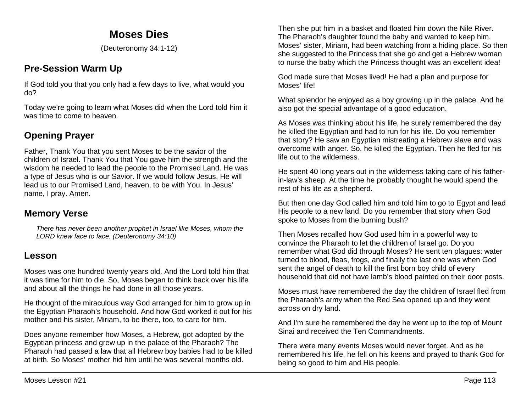# **Moses Dies**

(Deuteronomy 34:1-12)

# **Pre-Session Warm Up**

If God told you that you only had a few days to live, what would you do?

Today we're going to learn what Moses did when the Lord told him it was time to come to heaven.

# **Opening Prayer**

Father, Thank You that you sent Moses to be the savior of the children of Israel. Thank You that You gave him the strength and the wisdom he needed to lead the people to the Promised Land. He was a type of Jesus who is our Savior. If we would follow Jesus, He will lead us to our Promised Land, heaven, to be with You. In Jesus' name, I pray. Amen.

## **Memory Verse**

*There has never been another prophet in Israel like Moses, whom the LORD knew face to face. (Deuteronomy 34:10)*

### **Lesson**

Moses was one hundred twenty years old. And the Lord told him that it was time for him to die. So, Moses began to think back over his life and about all the things he had done in all those years.

He thought of the miraculous way God arranged for him to grow up in the Egyptian Pharaoh's household. And how God worked it out for his mother and his sister, Miriam, to be there, too, to care for him.

Does anyone remember how Moses, a Hebrew, got adopted by the Egyptian princess and grew up in the palace of the Pharaoh? The Pharaoh had passed a law that all Hebrew boy babies had to be killed at birth. So Moses' mother hid him until he was several months old.

Then she put him in a basket and floated him down the Nile River. The Pharaoh's daughter found the baby and wanted to keep him. Moses' sister, Miriam, had been watching from a hiding place. So then she suggested to the Princess that she go and get a Hebrew woman to nurse the baby which the Princess thought was an excellent idea!

God made sure that Moses lived! He had a plan and purpose for Moses' life!

What splendor he enjoyed as a boy growing up in the palace. And he also got the special advantage of a good education.

As Moses was thinking about his life, he surely remembered the day he killed the Egyptian and had to run for his life. Do you remember that story? He saw an Egyptian mistreating a Hebrew slave and was overcome with anger. So, he killed the Egyptian. Then he fled for his life out to the wilderness.

He spent 40 long years out in the wilderness taking care of his fatherin-law's sheep. At the time he probably thought he would spend the rest of his life as a shepherd.

But then one day God called him and told him to go to Egypt and lead His people to a new land. Do you remember that story when God spoke to Moses from the burning bush?

Then Moses recalled how God used him in a powerful way to convince the Pharaoh to let the children of Israel go. Do you remember what God did through Moses? He sent ten plagues: water turned to blood, fleas, frogs, and finally the last one was when God sent the angel of death to kill the first born boy child of every household that did not have lamb's blood painted on their door posts.

Moses must have remembered the day the children of Israel fled from the Pharaoh's army when the Red Sea opened up and they went across on dry land.

And I'm sure he remembered the day he went up to the top of Mount Sinai and received the Ten Commandments.

There were many events Moses would never forget. And as he remembered his life, he fell on his keens and prayed to thank God for being so good to him and His people.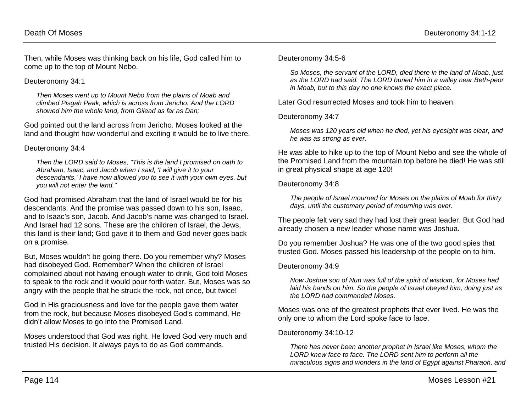Then, while Moses was thinking back on his life, God called him to come up to the top of Mount Nebo.

#### Deuteronomy 34:1

*Then Moses went up to Mount Nebo from the plains of Moab and climbed Pisgah Peak, which is across from Jericho. And the LORD showed him the whole land, from Gilead as far as Dan;*

God pointed out the land across from Jericho. Moses looked at the land and thought how wonderful and exciting it would be to live there.

#### Deuteronomy 34:4

*Then the LORD said to Moses, "This is the land I promised on oath to Abraham, Isaac, and Jacob when I said, 'I will give it to your descendants.' I have now allowed you to see it with your own eyes, but you will not enter the land."*

God had promised Abraham that the land of Israel would be for his descendants. And the promise was passed down to his son, Isaac, and to Isaac's son, Jacob. And Jacob's name was changed to Israel. And Israel had 12 sons. These are the children of Israel, the Jews, this land is their land; God gave it to them and God never goes back on a promise.

But, Moses wouldn't be going there. Do you remember why? Moses had disobeyed God. Remember? When the children of Israel complained about not having enough water to drink, God told Moses to speak to the rock and it would pour forth water. But, Moses was so angry with the people that he struck the rock, not once, but twice!

God in His graciousness and love for the people gave them water from the rock, but because Moses disobeyed God's command, He didn't allow Moses to go into the Promised Land.

Moses understood that God was right. He loved God very much and trusted His decision. It always pays to do as God commands.

Deuteronomy 34:5-6

*So Moses, the servant of the LORD, died there in the land of Moab, just as the LORD had said. The LORD buried him in a valley near Beth-peor in Moab, but to this day no one knows the exact place.* 

Later God resurrected Moses and took him to heaven.

#### Deuteronomy 34:7

*Moses was 120 years old when he died, yet his eyesight was clear, and he was as strong as ever.*

He was able to hike up to the top of Mount Nebo and see the whole of the Promised Land from the mountain top before he died! He was still in great physical shape at age 120!

#### Deuteronomy 34:8

*The people of Israel mourned for Moses on the plains of Moab for thirty days, until the customary period of mourning was over.*

The people felt very sad they had lost their great leader. But God had already chosen a new leader whose name was Joshua.

Do you remember Joshua? He was one of the two good spies that trusted God. Moses passed his leadership of the people on to him.

#### Deuteronomy 34:9

*Now Joshua son of Nun was full of the spirit of wisdom, for Moses had laid his hands on him. So the people of Israel obeyed him, doing just as the LORD had commanded Moses.* 

Moses was one of the greatest prophets that ever lived. He was the only one to whom the Lord spoke face to face.

#### Deuteronomy 34:10-12

*There has never been another prophet in Israel like Moses, whom the LORD knew face to face. The LORD sent him to perform all the miraculous signs and wonders in the land of Egypt against Pharaoh, and*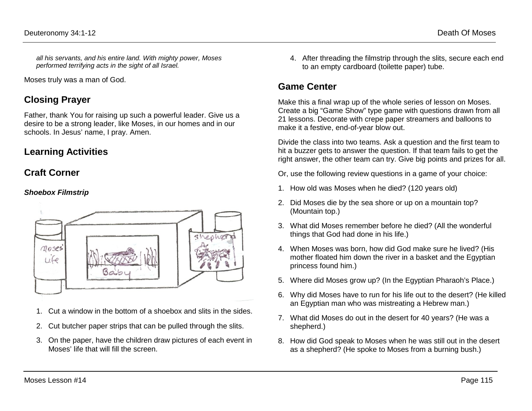*all his servants, and his entire land. With mighty power, Moses performed terrifying acts in the sight of all Israel.* 

Moses truly was a man of God.

## **Closing Prayer**

Father, thank You for raising up such a powerful leader. Give us a desire to be a strong leader, like Moses, in our homes and in our schools. In Jesus' name, I pray. Amen.

### **Learning Activities**

### **Craft Corner**

#### *Shoebox Filmstrip*



- 1. Cut a window in the bottom of a shoebox and slits in the sides.
- 2. Cut butcher paper strips that can be pulled through the slits.
- 3. On the paper, have the children draw pictures of each event in Moses' life that will fill the screen.

4. After threading the filmstrip through the slits, secure each end to an empty cardboard (toilette paper) tube.

## **Game Center**

Make this a final wrap up of the whole series of lesson on Moses. Create a big "Game Show" type game with questions drawn from all 21 lessons. Decorate with crepe paper streamers and balloons to make it a festive, end-of-year blow out.

Divide the class into two teams. Ask a question and the first team to hit a buzzer gets to answer the question. If that team fails to get the right answer, the other team can try. Give big points and prizes for all.

Or, use the following review questions in a game of your choice:

- 1. How old was Moses when he died? (120 years old)
- 2. Did Moses die by the sea shore or up on a mountain top? (Mountain top.)
- 3. What did Moses remember before he died? (All the wonderful things that God had done in his life.)
- 4. When Moses was born, how did God make sure he lived? (His mother floated him down the river in a basket and the Egyptian princess found him.)
- 5. Where did Moses grow up? (In the Egyptian Pharaoh's Place.)
- 6. Why did Moses have to run for his life out to the desert? (He killed an Egyptian man who was mistreating a Hebrew man.)
- 7. What did Moses do out in the desert for 40 years? (He was a shepherd.)
- 8. How did God speak to Moses when he was still out in the desert as a shepherd? (He spoke to Moses from a burning bush.)